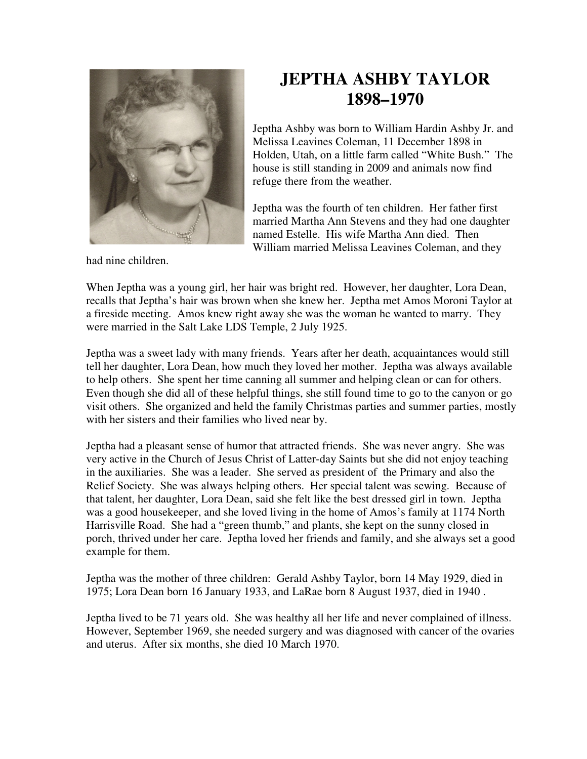

**JEPTHA ASHBY TAYLOR 1898–1970**

Jeptha Ashby was born to William Hardin Ashby Jr. and Melissa Leavines Coleman, 11 December 1898 in Holden, Utah, on a little farm called "White Bush." The house is still standing in 2009 and animals now find refuge there from the weather.

Jeptha was the fourth of ten children. Her father first married Martha Ann Stevens and they had one daughter named Estelle. His wife Martha Ann died. Then William married Melissa Leavines Coleman, and they

had nine children.

When Jeptha was a young girl, her hair was bright red. However, her daughter, Lora Dean, recalls that Jeptha's hair was brown when she knew her. Jeptha met Amos Moroni Taylor at a fireside meeting. Amos knew right away she was the woman he wanted to marry. They were married in the Salt Lake LDS Temple, 2 July 1925.

Jeptha was a sweet lady with many friends. Years after her death, acquaintances would still tell her daughter, Lora Dean, how much they loved her mother. Jeptha was always available to help others. She spent her time canning all summer and helping clean or can for others. Even though she did all of these helpful things, she still found time to go to the canyon or go visit others. She organized and held the family Christmas parties and summer parties, mostly with her sisters and their families who lived near by.

Jeptha had a pleasant sense of humor that attracted friends. She was never angry. She was very active in the Church of Jesus Christ of Latter-day Saints but she did not enjoy teaching in the auxiliaries. She was a leader. She served as president of the Primary and also the Relief Society. She was always helping others. Her special talent was sewing. Because of that talent, her daughter, Lora Dean, said she felt like the best dressed girl in town. Jeptha was a good housekeeper, and she loved living in the home of Amos's family at 1174 North Harrisville Road. She had a "green thumb," and plants, she kept on the sunny closed in porch, thrived under her care. Jeptha loved her friends and family, and she always set a good example for them.

Jeptha was the mother of three children: Gerald Ashby Taylor, born 14 May 1929, died in 1975; Lora Dean born 16 January 1933, and LaRae born 8 August 1937, died in 1940 .

Jeptha lived to be 71 years old. She was healthy all her life and never complained of illness. However, September 1969, she needed surgery and was diagnosed with cancer of the ovaries and uterus. After six months, she died 10 March 1970.